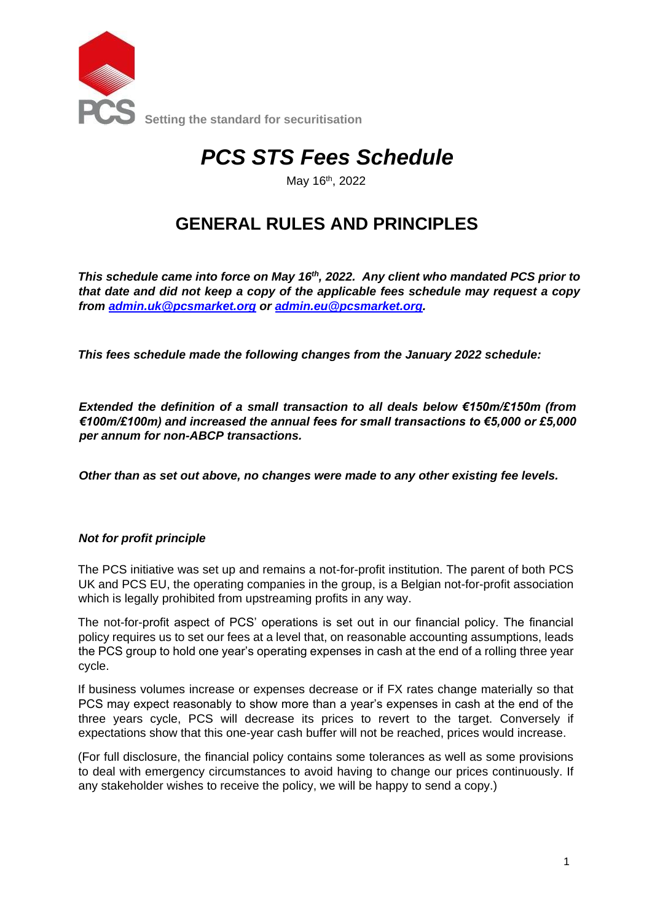

# *PCS STS Fees Schedule*

May 16<sup>th</sup>, 2022

## **GENERAL RULES AND PRINCIPLES**

*This schedule came into force on May 16th, 2022. Any client who mandated PCS prior to that date and did not keep a copy of the applicable fees schedule may request a copy from admin.uk@pcsmarket.org or admin.eu@pcsmarket.org.* 

*This fees schedule made the following changes from the January 2022 schedule:* 

*Extended the definition of a small transaction to all deals below €150m/£150m (from €100m/£100m) and increased the annual fees for small transactions to €5,000 or £5,000 per annum for non-ABCP transactions.*

*Other than as set out above, no changes were made to any other existing fee levels.*

#### *Not for profit principle*

The PCS initiative was set up and remains a not-for-profit institution. The parent of both PCS UK and PCS EU, the operating companies in the group, is a Belgian not-for-profit association which is legally prohibited from upstreaming profits in any way.

The not-for-profit aspect of PCS' operations is set out in our financial policy. The financial policy requires us to set our fees at a level that, on reasonable accounting assumptions, leads the PCS group to hold one year's operating expenses in cash at the end of a rolling three year cycle.

If business volumes increase or expenses decrease or if FX rates change materially so that PCS may expect reasonably to show more than a year's expenses in cash at the end of the three years cycle, PCS will decrease its prices to revert to the target. Conversely if expectations show that this one-year cash buffer will not be reached, prices would increase.

(For full disclosure, the financial policy contains some tolerances as well as some provisions to deal with emergency circumstances to avoid having to change our prices continuously. If any stakeholder wishes to receive the policy, we will be happy to send a copy.)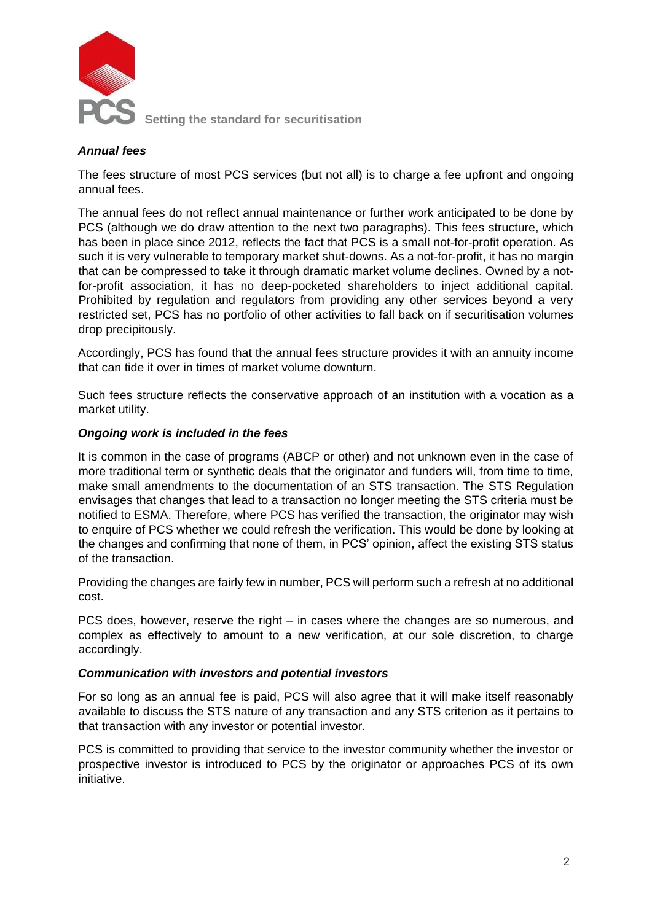

**Setting the standard for securitisation** 

#### *Annual fees*

The fees structure of most PCS services (but not all) is to charge a fee upfront and ongoing annual fees.

The annual fees do not reflect annual maintenance or further work anticipated to be done by PCS (although we do draw attention to the next two paragraphs). This fees structure, which has been in place since 2012, reflects the fact that PCS is a small not-for-profit operation. As such it is very vulnerable to temporary market shut-downs. As a not-for-profit, it has no margin that can be compressed to take it through dramatic market volume declines. Owned by a notfor-profit association, it has no deep-pocketed shareholders to inject additional capital. Prohibited by regulation and regulators from providing any other services beyond a very restricted set, PCS has no portfolio of other activities to fall back on if securitisation volumes drop precipitously.

Accordingly, PCS has found that the annual fees structure provides it with an annuity income that can tide it over in times of market volume downturn.

Such fees structure reflects the conservative approach of an institution with a vocation as a market utility.

#### *Ongoing work is included in the fees*

It is common in the case of programs (ABCP or other) and not unknown even in the case of more traditional term or synthetic deals that the originator and funders will, from time to time, make small amendments to the documentation of an STS transaction. The STS Regulation envisages that changes that lead to a transaction no longer meeting the STS criteria must be notified to ESMA. Therefore, where PCS has verified the transaction, the originator may wish to enquire of PCS whether we could refresh the verification. This would be done by looking at the changes and confirming that none of them, in PCS' opinion, affect the existing STS status of the transaction.

Providing the changes are fairly few in number, PCS will perform such a refresh at no additional cost.

PCS does, however, reserve the right – in cases where the changes are so numerous, and complex as effectively to amount to a new verification, at our sole discretion, to charge accordingly.

#### *Communication with investors and potential investors*

For so long as an annual fee is paid, PCS will also agree that it will make itself reasonably available to discuss the STS nature of any transaction and any STS criterion as it pertains to that transaction with any investor or potential investor.

PCS is committed to providing that service to the investor community whether the investor or prospective investor is introduced to PCS by the originator or approaches PCS of its own initiative.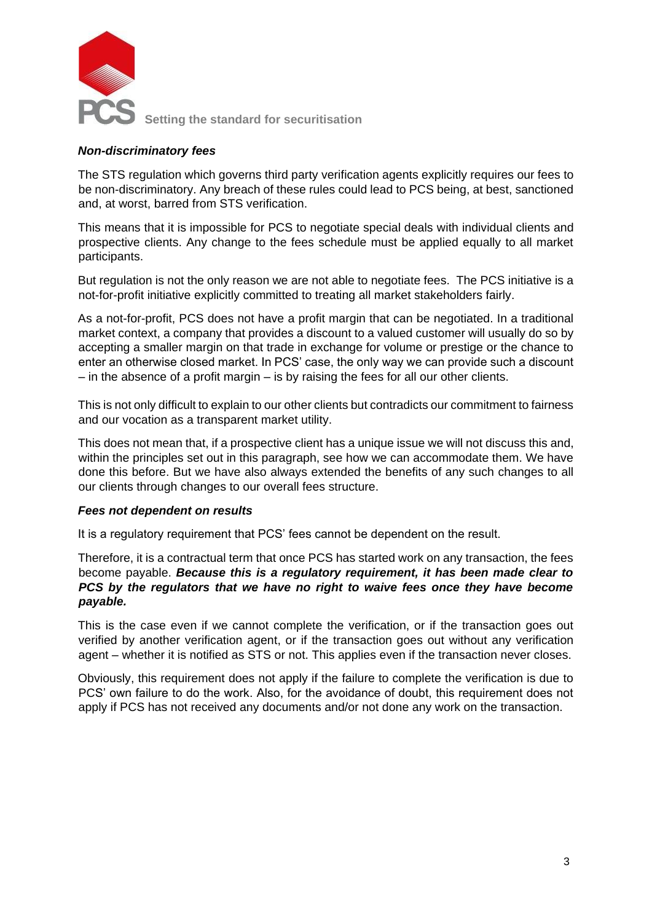

#### *Non-discriminatory fees*

The STS regulation which governs third party verification agents explicitly requires our fees to be non-discriminatory. Any breach of these rules could lead to PCS being, at best, sanctioned and, at worst, barred from STS verification.

This means that it is impossible for PCS to negotiate special deals with individual clients and prospective clients. Any change to the fees schedule must be applied equally to all market participants.

But regulation is not the only reason we are not able to negotiate fees. The PCS initiative is a not-for-profit initiative explicitly committed to treating all market stakeholders fairly.

As a not-for-profit, PCS does not have a profit margin that can be negotiated. In a traditional market context, a company that provides a discount to a valued customer will usually do so by accepting a smaller margin on that trade in exchange for volume or prestige or the chance to enter an otherwise closed market. In PCS' case, the only way we can provide such a discount – in the absence of a profit margin – is by raising the fees for all our other clients.

This is not only difficult to explain to our other clients but contradicts our commitment to fairness and our vocation as a transparent market utility.

This does not mean that, if a prospective client has a unique issue we will not discuss this and, within the principles set out in this paragraph, see how we can accommodate them. We have done this before. But we have also always extended the benefits of any such changes to all our clients through changes to our overall fees structure.

#### *Fees not dependent on results*

It is a regulatory requirement that PCS' fees cannot be dependent on the result.

Therefore, it is a contractual term that once PCS has started work on any transaction, the fees become payable. *Because this is a regulatory requirement, it has been made clear to PCS by the regulators that we have no right to waive fees once they have become payable.*

This is the case even if we cannot complete the verification, or if the transaction goes out verified by another verification agent, or if the transaction goes out without any verification agent – whether it is notified as STS or not. This applies even if the transaction never closes.

Obviously, this requirement does not apply if the failure to complete the verification is due to PCS' own failure to do the work. Also, for the avoidance of doubt, this requirement does not apply if PCS has not received any documents and/or not done any work on the transaction.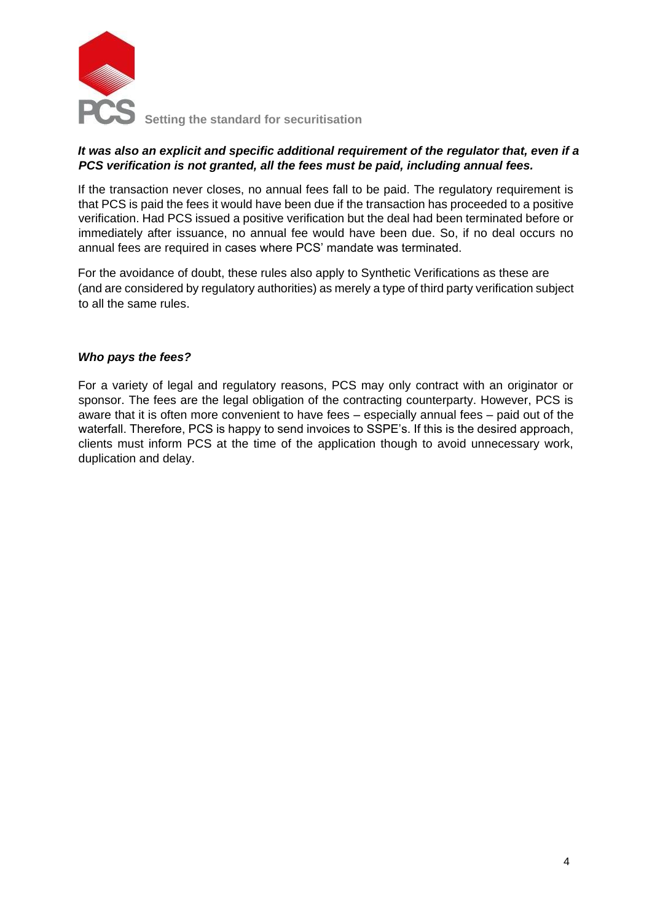

#### *It was also an explicit and specific additional requirement of the regulator that, even if a PCS verification is not granted, all the fees must be paid, including annual fees.*

If the transaction never closes, no annual fees fall to be paid. The regulatory requirement is that PCS is paid the fees it would have been due if the transaction has proceeded to a positive verification. Had PCS issued a positive verification but the deal had been terminated before or immediately after issuance, no annual fee would have been due. So, if no deal occurs no annual fees are required in cases where PCS' mandate was terminated.

For the avoidance of doubt, these rules also apply to Synthetic Verifications as these are (and are considered by regulatory authorities) as merely a type of third party verification subject to all the same rules.

#### *Who pays the fees?*

For a variety of legal and regulatory reasons, PCS may only contract with an originator or sponsor. The fees are the legal obligation of the contracting counterparty. However, PCS is aware that it is often more convenient to have fees – especially annual fees – paid out of the waterfall. Therefore, PCS is happy to send invoices to SSPE's. If this is the desired approach, clients must inform PCS at the time of the application though to avoid unnecessary work, duplication and delay.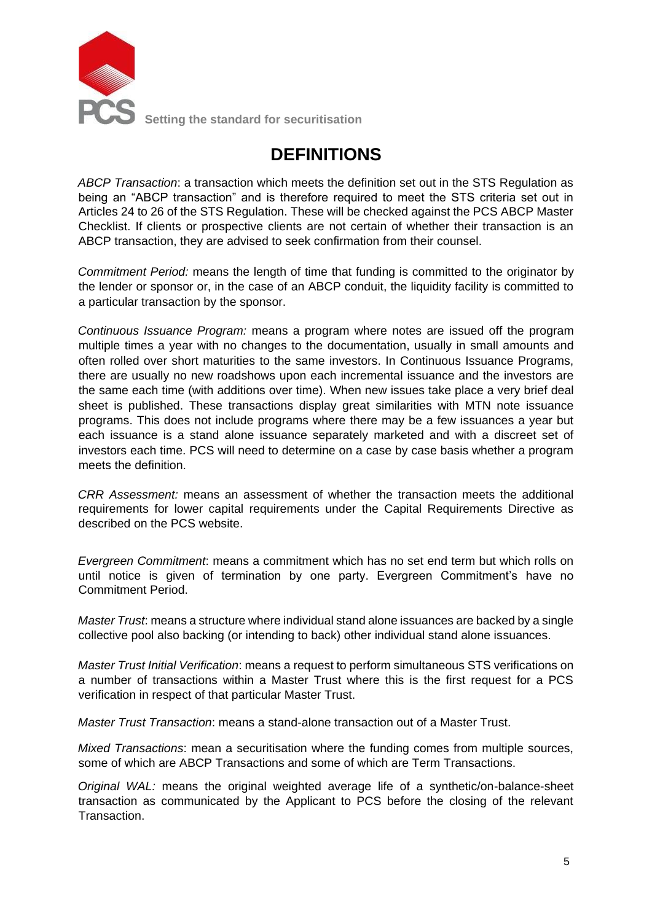

**Setting the standard for securitisation** 

## **DEFINITIONS**

*ABCP Transaction*: a transaction which meets the definition set out in the STS Regulation as being an "ABCP transaction" and is therefore required to meet the STS criteria set out in Articles 24 to 26 of the STS Regulation. These will be checked against the PCS ABCP Master Checklist. If clients or prospective clients are not certain of whether their transaction is an ABCP transaction, they are advised to seek confirmation from their counsel.

*Commitment Period:* means the length of time that funding is committed to the originator by the lender or sponsor or, in the case of an ABCP conduit, the liquidity facility is committed to a particular transaction by the sponsor.

*Continuous Issuance Program:* means a program where notes are issued off the program multiple times a year with no changes to the documentation, usually in small amounts and often rolled over short maturities to the same investors. In Continuous Issuance Programs, there are usually no new roadshows upon each incremental issuance and the investors are the same each time (with additions over time). When new issues take place a very brief deal sheet is published. These transactions display great similarities with MTN note issuance programs. This does not include programs where there may be a few issuances a year but each issuance is a stand alone issuance separately marketed and with a discreet set of investors each time. PCS will need to determine on a case by case basis whether a program meets the definition.

*CRR Assessment:* means an assessment of whether the transaction meets the additional requirements for lower capital requirements under the Capital Requirements Directive as described on the PCS website.

*Evergreen Commitment*: means a commitment which has no set end term but which rolls on until notice is given of termination by one party. Evergreen Commitment's have no Commitment Period.

*Master Trust*: means a structure where individual stand alone issuances are backed by a single collective pool also backing (or intending to back) other individual stand alone issuances.

*Master Trust Initial Verification*: means a request to perform simultaneous STS verifications on a number of transactions within a Master Trust where this is the first request for a PCS verification in respect of that particular Master Trust.

*Master Trust Transaction*: means a stand-alone transaction out of a Master Trust.

*Mixed Transactions*: mean a securitisation where the funding comes from multiple sources, some of which are ABCP Transactions and some of which are Term Transactions.

*Original WAL:* means the original weighted average life of a synthetic/on-balance-sheet transaction as communicated by the Applicant to PCS before the closing of the relevant Transaction.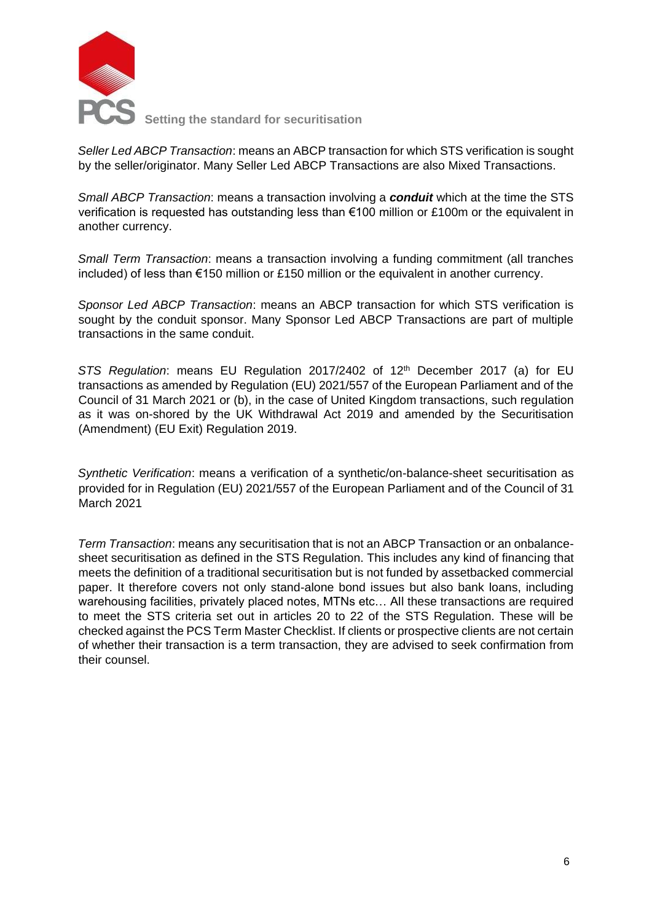

*Seller Led ABCP Transaction*: means an ABCP transaction for which STS verification is sought by the seller/originator. Many Seller Led ABCP Transactions are also Mixed Transactions.

*Small ABCP Transaction*: means a transaction involving a *conduit* which at the time the STS verification is requested has outstanding less than €100 million or £100m or the equivalent in another currency.

*Small Term Transaction*: means a transaction involving a funding commitment (all tranches included) of less than €150 million or £150 million or the equivalent in another currency.

*Sponsor Led ABCP Transaction*: means an ABCP transaction for which STS verification is sought by the conduit sponsor. Many Sponsor Led ABCP Transactions are part of multiple transactions in the same conduit.

*STS Regulation*: means EU Regulation 2017/2402 of 12th December 2017 (a) for EU transactions as amended by Regulation (EU) 2021/557 of the European Parliament and of the Council of 31 March 2021 or (b), in the case of United Kingdom transactions, such regulation as it was on-shored by the UK Withdrawal Act 2019 and amended by the Securitisation (Amendment) (EU Exit) Regulation 2019.

*Synthetic Verification*: means a verification of a synthetic/on-balance-sheet securitisation as provided for in Regulation (EU) 2021/557 of the European Parliament and of the Council of 31 March 2021

*Term Transaction*: means any securitisation that is not an ABCP Transaction or an onbalancesheet securitisation as defined in the STS Regulation. This includes any kind of financing that meets the definition of a traditional securitisation but is not funded by assetbacked commercial paper. It therefore covers not only stand-alone bond issues but also bank loans, including warehousing facilities, privately placed notes, MTNs etc… All these transactions are required to meet the STS criteria set out in articles 20 to 22 of the STS Regulation. These will be checked against the PCS Term Master Checklist. If clients or prospective clients are not certain of whether their transaction is a term transaction, they are advised to seek confirmation from their counsel.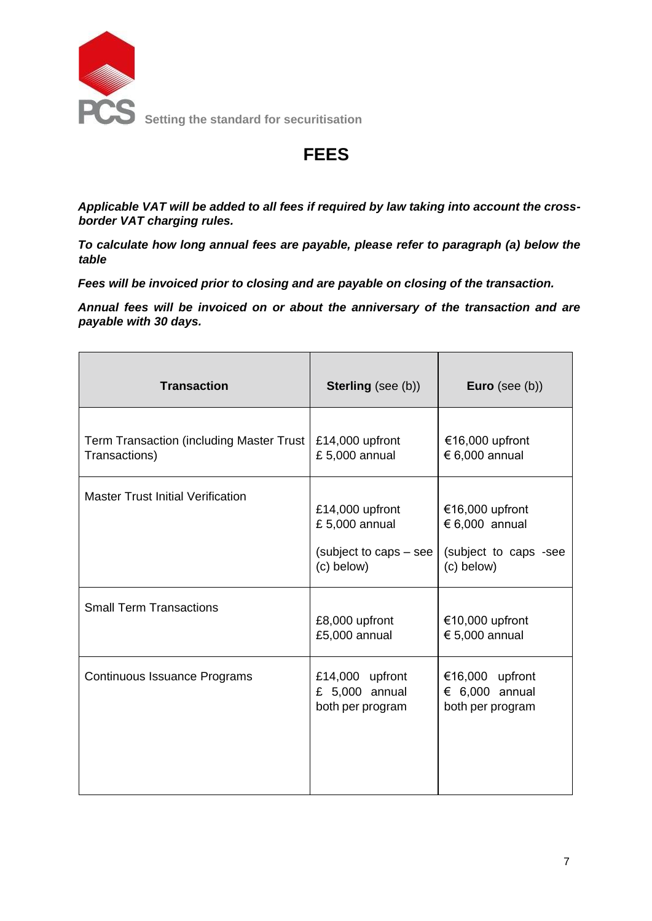

## **FEES**

*Applicable VAT will be added to all fees if required by law taking into account the crossborder VAT charging rules.*

*To calculate how long annual fees are payable, please refer to paragraph (a) below the table*

*Fees will be invoiced prior to closing and are payable on closing of the transaction.*

*Annual fees will be invoiced on or about the anniversary of the transaction and are payable with 30 days.*

| <b>Transaction</b>                                        | <b>Sterling</b> (see (b))                                                 | Euro (see $(b)$ )                                                          |
|-----------------------------------------------------------|---------------------------------------------------------------------------|----------------------------------------------------------------------------|
| Term Transaction (including Master Trust<br>Transactions) | £14,000 upfront<br>£ 5,000 annual                                         | €16,000 upfront<br>€ 6,000 annual                                          |
| <b>Master Trust Initial Verification</b>                  | £14,000 upfront<br>£ 5,000 annual<br>(subject to caps – see<br>(c) below) | €16,000 upfront<br>$€ 6,000$ annual<br>(subject to caps -see<br>(c) below) |
| <b>Small Term Transactions</b>                            | £8,000 upfront<br>£5,000 annual                                           | €10,000 upfront<br>€ 5,000 annual                                          |
| Continuous Issuance Programs                              | £14,000 upfront<br>£ $5,000$ annual<br>both per program                   | €16,000 upfront<br>$\epsilon$ 6,000 annual<br>both per program             |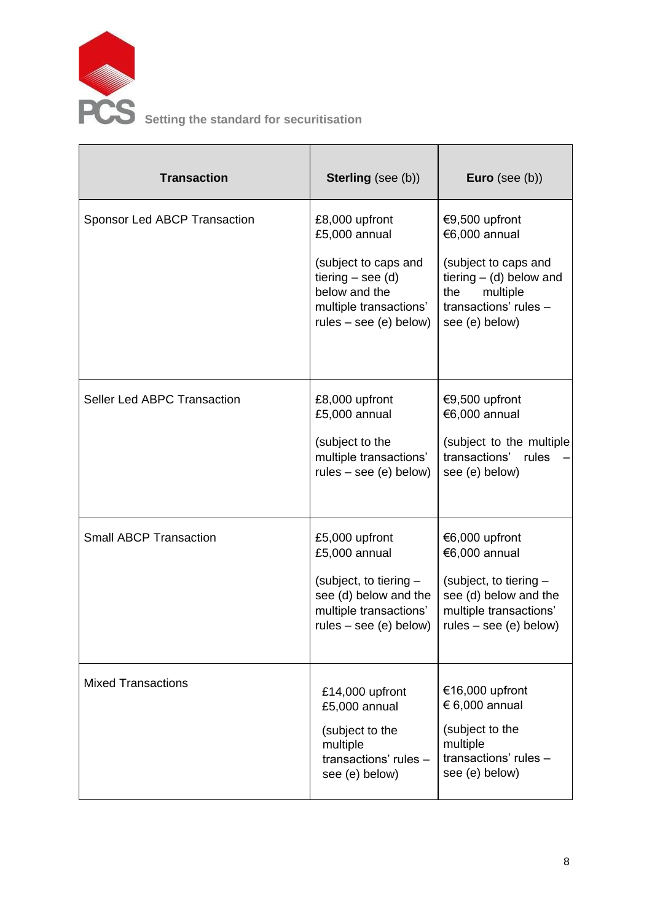

 $\blacksquare$ 

| <b>Transaction</b>                  | <b>Sterling</b> (see (b))                                                                                                                             | <b>Euro</b> (see $(b)$ )                                                                                                                           |
|-------------------------------------|-------------------------------------------------------------------------------------------------------------------------------------------------------|----------------------------------------------------------------------------------------------------------------------------------------------------|
| <b>Sponsor Led ABCP Transaction</b> | £8,000 upfront<br>£5,000 annual<br>(subject to caps and<br>tiering $-$ see (d)<br>below and the<br>multiple transactions'<br>$rules - see (e) below)$ | €9,500 upfront<br>€6,000 annual<br>(subject to caps and<br>tiering $-$ (d) below and<br>multiple<br>the<br>transactions' rules -<br>see (e) below) |
| Seller Led ABPC Transaction         | £8,000 upfront<br>£5,000 annual<br>(subject to the<br>multiple transactions'<br>$rules - see (e) below)$                                              | €9,500 upfront<br>€6,000 annual<br>(subject to the multiple<br>transactions'<br>rules<br>see (e) below)                                            |
| <b>Small ABCP Transaction</b>       | £5,000 upfront<br>£5,000 annual<br>(subject, to tiering -<br>see (d) below and the<br>multiple transactions'<br>$rules - see (e) below)$              | €6,000 upfront<br>€6,000 annual<br>(subject, to tiering -<br>see (d) below and the<br>multiple transactions'<br>$rules - see (e) below)$           |
| <b>Mixed Transactions</b>           | £14,000 upfront<br>£5,000 annual<br>(subject to the<br>multiple<br>transactions' rules -<br>see (e) below)                                            | €16,000 upfront<br>€ 6,000 annual<br>(subject to the<br>multiple<br>transactions' rules -<br>see (e) below)                                        |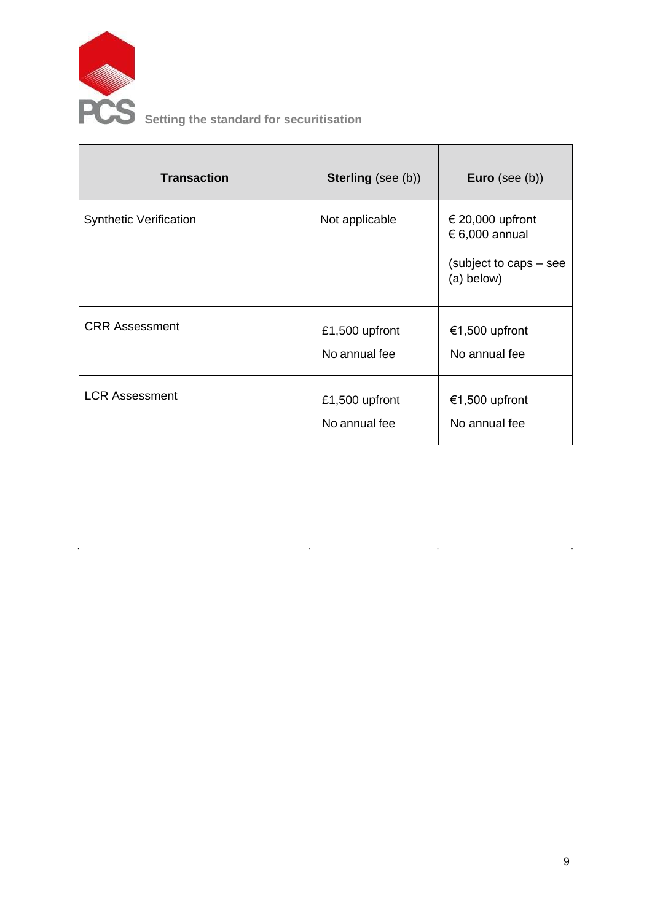

 $\bar{z}$ 

| <b>Transaction</b>            | <b>Sterling</b> (see (b))       | <b>Euro</b> (see $(b)$ )                                                   |
|-------------------------------|---------------------------------|----------------------------------------------------------------------------|
| <b>Synthetic Verification</b> | Not applicable                  | € 20,000 upfront<br>€ 6,000 annual<br>(subject to caps – see<br>(a) below) |
| <b>CRR Assessment</b>         | £1,500 upfront<br>No annual fee | €1,500 upfront<br>No annual fee                                            |
| <b>LCR Assessment</b>         | £1,500 upfront<br>No annual fee | €1,500 upfront<br>No annual fee                                            |

 $\hat{\mathbf{r}}$ 

 $\sim 10$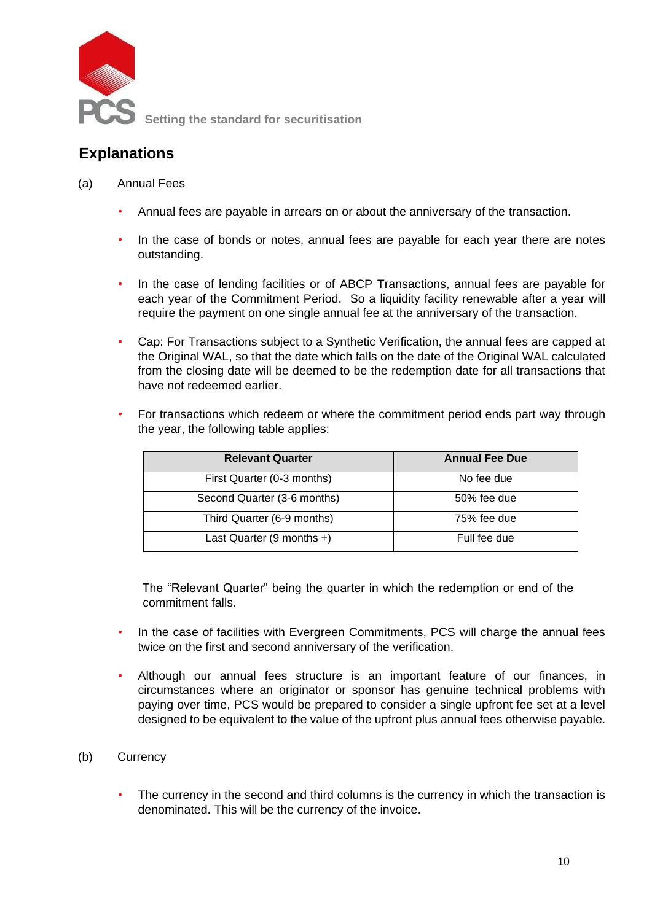

### **Explanations**

#### (a) Annual Fees

- Annual fees are payable in arrears on or about the anniversary of the transaction.
- In the case of bonds or notes, annual fees are payable for each year there are notes outstanding.
- In the case of lending facilities or of ABCP Transactions, annual fees are payable for each year of the Commitment Period. So a liquidity facility renewable after a year will require the payment on one single annual fee at the anniversary of the transaction.
- Cap: For Transactions subject to a Synthetic Verification, the annual fees are capped at the Original WAL, so that the date which falls on the date of the Original WAL calculated from the closing date will be deemed to be the redemption date for all transactions that have not redeemed earlier.
- For transactions which redeem or where the commitment period ends part way through the year, the following table applies:

| <b>Relevant Quarter</b>     | <b>Annual Fee Due</b> |
|-----------------------------|-----------------------|
| First Quarter (0-3 months)  | No fee due            |
| Second Quarter (3-6 months) | 50% fee due           |
| Third Quarter (6-9 months)  | 75% fee due           |
| Last Quarter $(9$ months +) | Full fee due          |

The "Relevant Quarter" being the quarter in which the redemption or end of the commitment falls.

- In the case of facilities with Evergreen Commitments, PCS will charge the annual fees twice on the first and second anniversary of the verification.
- Although our annual fees structure is an important feature of our finances, in circumstances where an originator or sponsor has genuine technical problems with paying over time, PCS would be prepared to consider a single upfront fee set at a level designed to be equivalent to the value of the upfront plus annual fees otherwise payable.

#### (b) Currency

The currency in the second and third columns is the currency in which the transaction is denominated. This will be the currency of the invoice.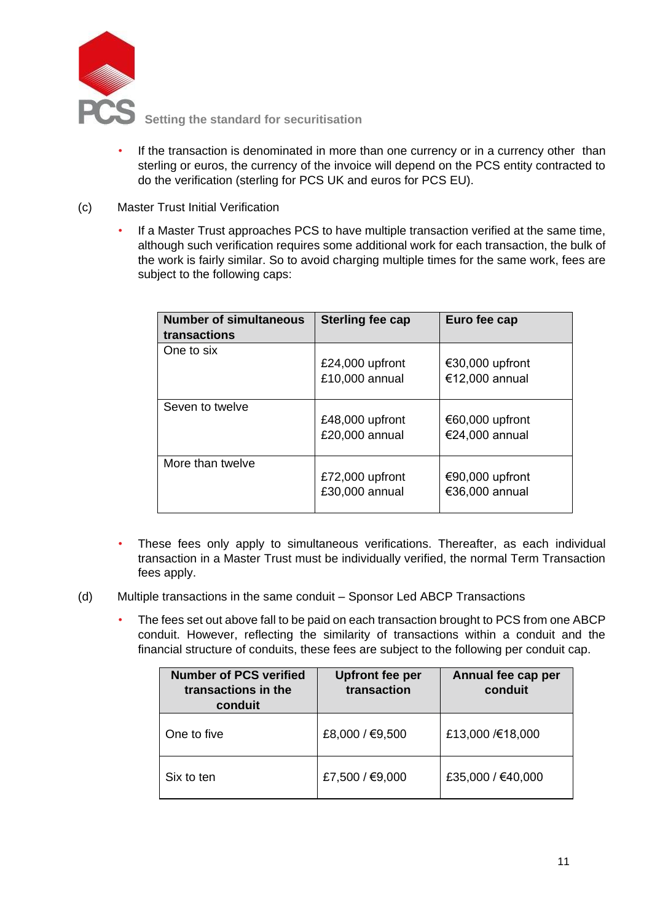

- If the transaction is denominated in more than one currency or in a currency other than sterling or euros, the currency of the invoice will depend on the PCS entity contracted to do the verification (sterling for PCS UK and euros for PCS EU).
- (c) Master Trust Initial Verification
	- If a Master Trust approaches PCS to have multiple transaction verified at the same time, although such verification requires some additional work for each transaction, the bulk of the work is fairly similar. So to avoid charging multiple times for the same work, fees are subject to the following caps:

| <b>Number of simultaneous</b><br>transactions | <b>Sterling fee cap</b>           | Euro fee cap                      |
|-----------------------------------------------|-----------------------------------|-----------------------------------|
| One to six                                    | £24,000 upfront<br>£10,000 annual | €30,000 upfront<br>€12,000 annual |
| Seven to twelve                               | £48,000 upfront<br>£20,000 annual | €60,000 upfront<br>€24,000 annual |
| More than twelve                              | £72,000 upfront<br>£30,000 annual | €90,000 upfront<br>€36,000 annual |

- These fees only apply to simultaneous verifications. Thereafter, as each individual transaction in a Master Trust must be individually verified, the normal Term Transaction fees apply.
- (d) Multiple transactions in the same conduit Sponsor Led ABCP Transactions
	- The fees set out above fall to be paid on each transaction brought to PCS from one ABCP conduit. However, reflecting the similarity of transactions within a conduit and the financial structure of conduits, these fees are subject to the following per conduit cap.

| <b>Number of PCS verified</b><br>transactions in the<br>conduit | <b>Upfront fee per</b><br>transaction | Annual fee cap per<br>conduit |
|-----------------------------------------------------------------|---------------------------------------|-------------------------------|
| One to five                                                     | £8,000 / €9,500                       | £13,000 /€18,000              |
| Six to ten                                                      | £7,500 / €9,000                       | £35,000 / €40,000             |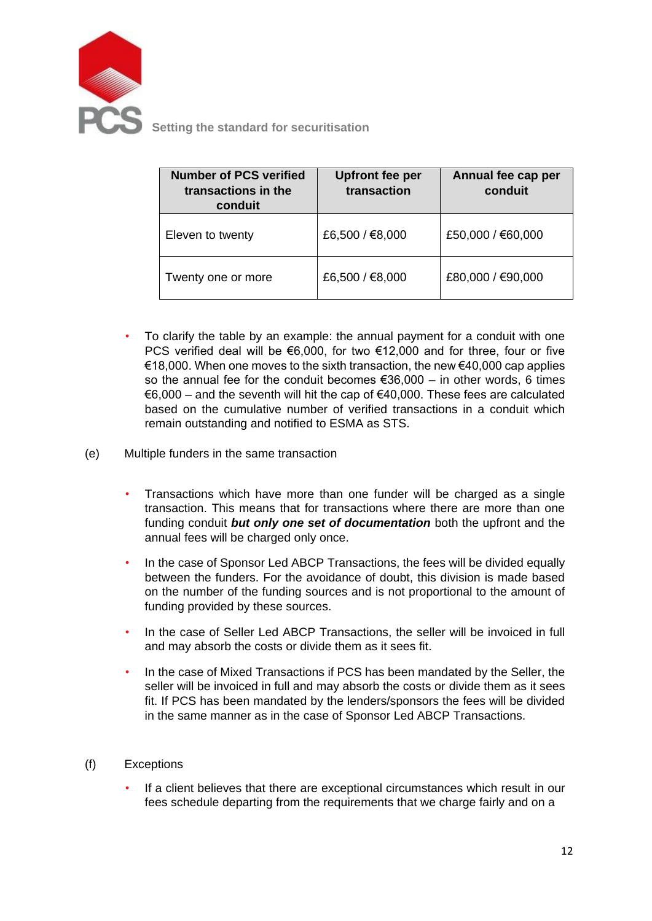

**Setting the standard for securitisation** 

| <b>Number of PCS verified</b><br>transactions in the<br>conduit | <b>Upfront fee per</b><br>transaction | Annual fee cap per<br>conduit |
|-----------------------------------------------------------------|---------------------------------------|-------------------------------|
| Eleven to twenty                                                | £6,500 / €8,000                       | £50,000 / €60,000             |
| Twenty one or more                                              | £6,500 / €8,000                       | £80,000 / €90,000             |

- To clarify the table by an example: the annual payment for a conduit with one PCS verified deal will be €6,000, for two €12,000 and for three, four or five €18,000. When one moves to the sixth transaction, the new €40,000 cap applies so the annual fee for the conduit becomes  $€36,000 -$  in other words, 6 times  $€6,000$  – and the seventh will hit the cap of  $€40,000$ . These fees are calculated based on the cumulative number of verified transactions in a conduit which remain outstanding and notified to ESMA as STS.
- (e) Multiple funders in the same transaction
	- Transactions which have more than one funder will be charged as a single transaction. This means that for transactions where there are more than one funding conduit *but only one set of documentation* both the upfront and the annual fees will be charged only once.
	- In the case of Sponsor Led ABCP Transactions, the fees will be divided equally between the funders. For the avoidance of doubt, this division is made based on the number of the funding sources and is not proportional to the amount of funding provided by these sources.
	- In the case of Seller Led ABCP Transactions, the seller will be invoiced in full and may absorb the costs or divide them as it sees fit.
	- In the case of Mixed Transactions if PCS has been mandated by the Seller, the seller will be invoiced in full and may absorb the costs or divide them as it sees fit. If PCS has been mandated by the lenders/sponsors the fees will be divided in the same manner as in the case of Sponsor Led ABCP Transactions.
- (f) Exceptions
	- If a client believes that there are exceptional circumstances which result in our fees schedule departing from the requirements that we charge fairly and on a